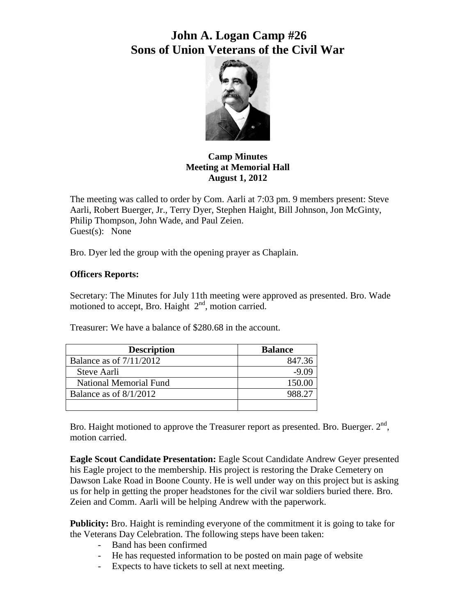# **John A. Logan Camp #26 Sons of Union Veterans of the Civil War**



#### **Camp Minutes Meeting at Memorial Hall August 1, 2012**

The meeting was called to order by Com. Aarli at 7:03 pm. 9 members present: Steve Aarli, Robert Buerger, Jr., Terry Dyer, Stephen Haight, Bill Johnson, Jon McGinty, Philip Thompson, John Wade, and Paul Zeien. Guest(s): None

Bro. Dyer led the group with the opening prayer as Chaplain.

#### **Officers Reports:**

Secretary: The Minutes for July 11th meeting were approved as presented. Bro. Wade motioned to accept, Bro. Haight  $2<sup>nd</sup>$ , motion carried.

Treasurer: We have a balance of \$280.68 in the account.

| <b>Description</b>            | <b>Balance</b> |
|-------------------------------|----------------|
| Balance as of $7/11/2012$     | 847.36         |
| Steve Aarli                   | -9.09          |
| <b>National Memorial Fund</b> | 150.00         |
| Balance as of $8/1/2012$      | 988.2          |
|                               |                |

Bro. Haight motioned to approve the Treasurer report as presented. Bro. Buerger.  $2<sup>nd</sup>$ , motion carried.

**Eagle Scout Candidate Presentation:** Eagle Scout Candidate Andrew Geyer presented his Eagle project to the membership. His project is restoring the Drake Cemetery on Dawson Lake Road in Boone County. He is well under way on this project but is asking us for help in getting the proper headstones for the civil war soldiers buried there. Bro. Zeien and Comm. Aarli will be helping Andrew with the paperwork.

**Publicity:** Bro. Haight is reminding everyone of the commitment it is going to take for the Veterans Day Celebration. The following steps have been taken:

- Band has been confirmed
- He has requested information to be posted on main page of website
- Expects to have tickets to sell at next meeting.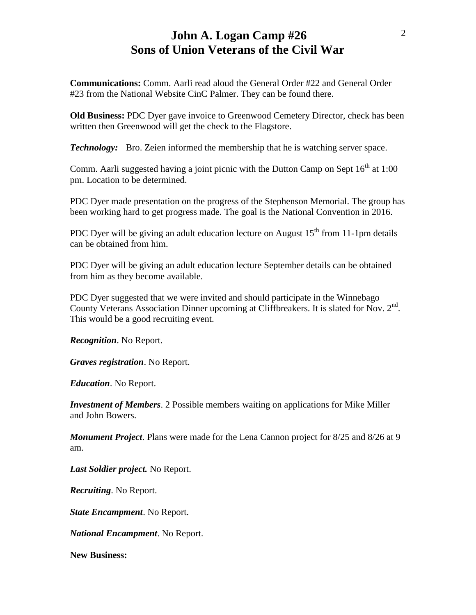### **John A. Logan Camp #26 Sons of Union Veterans of the Civil War**

**Communications:** Comm. Aarli read aloud the General Order #22 and General Order #23 from the National Website CinC Palmer. They can be found there.

**Old Business:** PDC Dyer gave invoice to Greenwood Cemetery Director, check has been written then Greenwood will get the check to the Flagstore.

*Technology:* Bro. Zeien informed the membership that he is watching server space.

Comm. Aarli suggested having a joint picnic with the Dutton Camp on Sept  $16<sup>th</sup>$  at 1:00 pm. Location to be determined.

PDC Dyer made presentation on the progress of the Stephenson Memorial. The group has been working hard to get progress made. The goal is the National Convention in 2016.

PDC Dyer will be giving an adult education lecture on August  $15<sup>th</sup>$  from 11-1pm details can be obtained from him.

PDC Dyer will be giving an adult education lecture September details can be obtained from him as they become available.

PDC Dyer suggested that we were invited and should participate in the Winnebago County Veterans Association Dinner upcoming at Cliffbreakers. It is slated for Nov. 2<sup>nd</sup>. This would be a good recruiting event.

*Recognition*. No Report.

*Graves registration*. No Report.

*Education*. No Report.

*Investment of Members*. 2 Possible members waiting on applications for Mike Miller and John Bowers.

*Monument Project*. Plans were made for the Lena Cannon project for 8/25 and 8/26 at 9 am.

*Last Soldier project.* No Report.

*Recruiting*. No Report.

*State Encampment*. No Report.

*National Encampment*. No Report.

**New Business:**